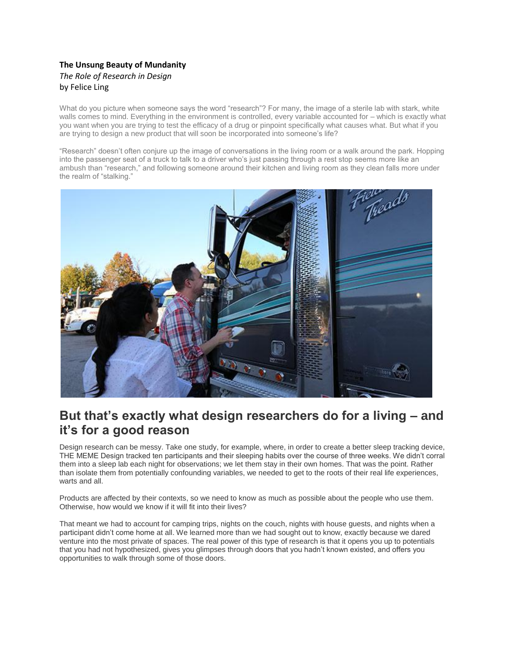## **The Unsung Beauty of Mundanity** *The Role of Research in Design* by Felice Ling

What do you picture when someone says the word "research"? For many, the image of a sterile lab with stark, white walls comes to mind. Everything in the environment is controlled, every variable accounted for – which is exactly what you want when you are trying to test the efficacy of a drug or pinpoint specifically what causes what. But what if you are trying to design a new product that will soon be incorporated into someone's life?

"Research" doesn't often conjure up the image of conversations in the living room or a walk around the park. Hopping into the passenger seat of a truck to talk to a driver who's just passing through a rest stop seems more like an ambush than "research," and following someone around their kitchen and living room as they clean falls more under the realm of "stalking."



## **But that's exactly what design researchers do for a living – and it's for a good reason**

Design research can be messy. Take one study, for example, where, in order to create a better sleep tracking device, THE MEME Design tracked ten participants and their sleeping habits over the course of three weeks. We didn't corral them into a sleep lab each night for observations; we let them stay in their own homes. That was the point. Rather than isolate them from potentially confounding variables, we needed to get to the roots of their real life experiences, warts and all.

Products are affected by their contexts, so we need to know as much as possible about the people who use them. Otherwise, how would we know if it will fit into their lives?

That meant we had to account for camping trips, nights on the couch, nights with house guests, and nights when a participant didn't come home at all. We learned more than we had sought out to know, exactly because we dared venture into the most private of spaces. The real power of this type of research is that it opens you up to potentials that you had not hypothesized, gives you glimpses through doors that you hadn't known existed, and offers you opportunities to walk through some of those doors.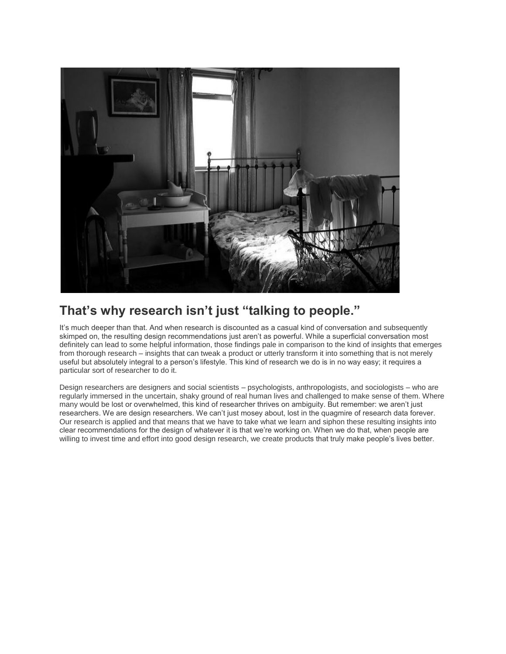

## **That's why research isn't just "talking to people."**

It's much deeper than that. And when research is discounted as a casual kind of conversation and subsequently skimped on, the resulting design recommendations just aren't as powerful. While a superficial conversation most definitely can lead to some helpful information, those findings pale in comparison to the kind of insights that emerges from thorough research – insights that can tweak a product or utterly transform it into something that is not merely useful but absolutely integral to a person's lifestyle. This kind of research we do is in no way easy; it requires a particular sort of researcher to do it.

Design researchers are designers and social scientists – psychologists, anthropologists, and sociologists – who are regularly immersed in the uncertain, shaky ground of real human lives and challenged to make sense of them. Where many would be lost or overwhelmed, this kind of researcher thrives on ambiguity. But remember: we aren't just researchers. We are design researchers. We can't just mosey about, lost in the quagmire of research data forever. Our research is applied and that means that we have to take what we learn and siphon these resulting insights into clear recommendations for the design of whatever it is that we're working on. When we do that, when people are willing to invest time and effort into good design research, we create products that truly make people's lives better.